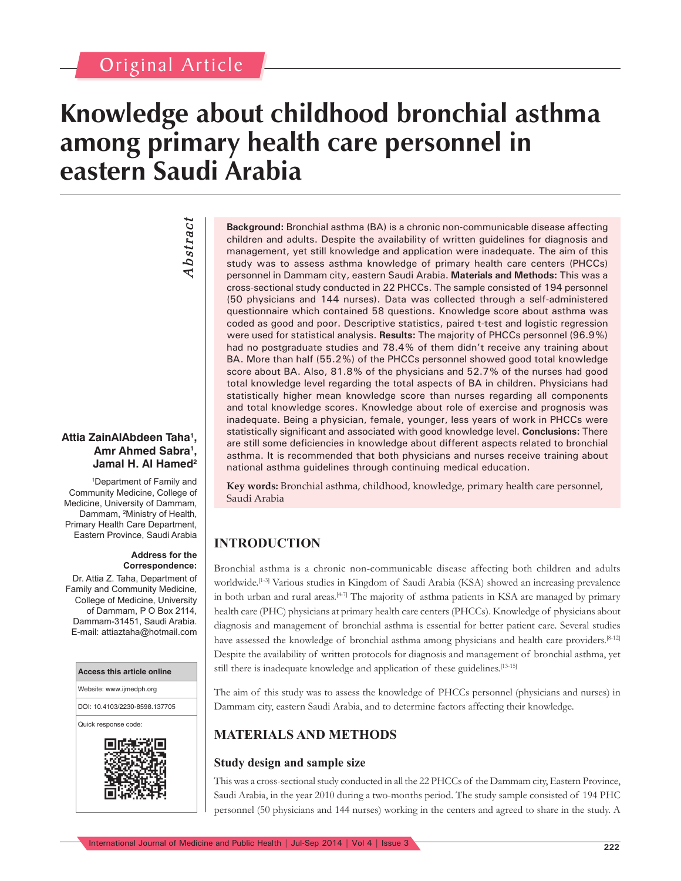# Original Article

# **Knowledge about childhood bronchial asthma among primary health care personnel in eastern Saudi Arabia**

*Abstract* Abstract

#### **Attia ZainAlAbdeen Taha1 , Amr Ahmed Sabra1 ,**  Jamal H. Al Hamed<sup>2</sup>

1 Department of Family and Community Medicine, College of Medicine, University of Dammam, Dammam, 2 Ministry of Health, Primary Health Care Department, Eastern Province, Saudi Arabia

#### **Address for the Correspondence:**

Dr. Attia Z. Taha, Department of Family and Community Medicine, College of Medicine, University of Dammam, P O Box 2114, Dammam-31451, Saudi Arabia. E-mail: attiaztaha@hotmail.com



**Background:** Bronchial asthma (BA) is a chronic non-communicable disease affecting children and adults. Despite the availability of written guidelines for diagnosis and management, yet still knowledge and application were inadequate. The aim of this study was to assess asthma knowledge of primary health care centers (PHCCs) personnel in Dammam city, eastern Saudi Arabia. **Materials and Methods:** This was a cross-sectional study conducted in 22 PHCCs. The sample consisted of 194 personnel (50 physicians and 144 nurses). Data was collected through a self-administered questionnaire which contained 58 questions. Knowledge score about asthma was coded as good and poor. Descriptive statistics, paired t-test and logistic regression were used for statistical analysis. **Results:** The majority of PHCCs personnel (96.9%) had no postgraduate studies and 78.4% of them didn't receive any training about BA. More than half (55.2%) of the PHCCs personnel showed good total knowledge score about BA. Also, 81.8% of the physicians and 52.7% of the nurses had good total knowledge level regarding the total aspects of BA in children. Physicians had statistically higher mean knowledge score than nurses regarding all components and total knowledge scores. Knowledge about role of exercise and prognosis was inadequate. Being a physician, female, younger, less years of work in PHCCs were statistically significant and associated with good knowledge level. **Conclusions:** There are still some deficiencies in knowledge about different aspects related to bronchial asthma. It is recommended that both physicians and nurses receive training about national asthma guidelines through continuing medical education.

**Key words:** Bronchial asthma, childhood, knowledge, primary health care personnel, Saudi Arabia

# **INTRODUCTION**

Bronchial asthma is a chronic non-communicable disease affecting both children and adults worldwide.[1-3] Various studies in Kingdom of Saudi Arabia (KSA) showed an increasing prevalence in both urban and rural areas.<sup>[4-7]</sup> The majority of asthma patients in KSA are managed by primary health care (PHC) physicians at primary health care centers (PHCCs). Knowledge of physicians about diagnosis and management of bronchial asthma is essential for better patient care. Several studies have assessed the knowledge of bronchial asthma among physicians and health care providers.<sup>[8-12]</sup> Despite the availability of written protocols for diagnosis and management of bronchial asthma, yet still there is inadequate knowledge and application of these guidelines.<sup>[13-15]</sup>

The aim of this study was to assess the knowledge of PHCCs personnel (physicians and nurses) in Dammam city, eastern Saudi Arabia, and to determine factors affecting their knowledge.

# **MATERIALS AND METHODS**

## **Study design and sample size**

This was a cross-sectional study conducted in all the 22 PHCCs of the Dammam city, Eastern Province, Saudi Arabia, in the year 2010 during a two-months period. The study sample consisted of 194 PHC personnel (50 physicians and 144 nurses) working in the centers and agreed to share in the study. A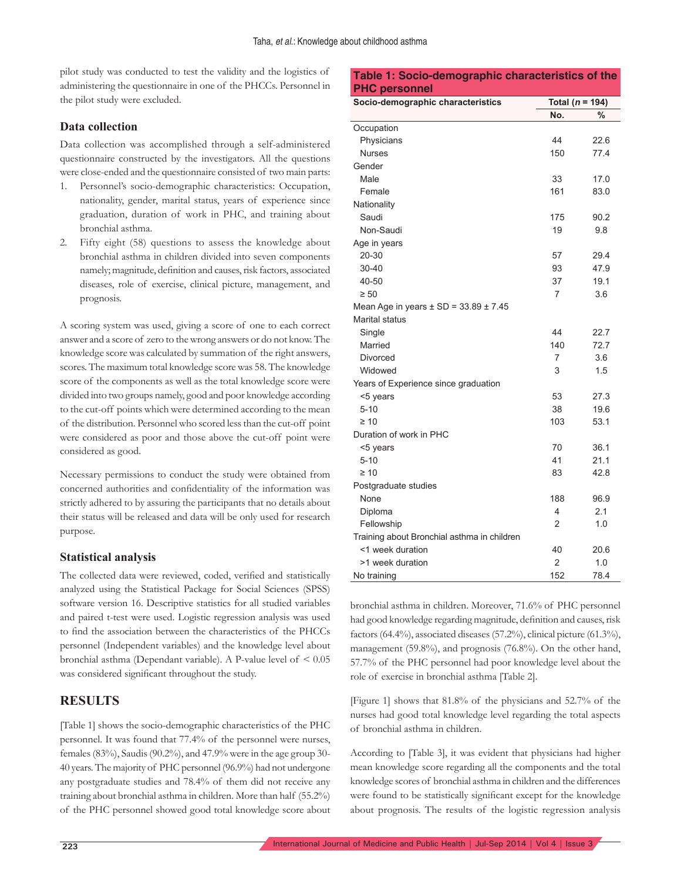pilot study was conducted to test the validity and the logistics of administering the questionnaire in one of the PHCCs. Personnel in the pilot study were excluded.

#### **Data collection**

Data collection was accomplished through a self-administered questionnaire constructed by the investigators. All the questions were close-ended and the questionnaire consisted of two main parts:

- 1. Personnel's socio-demographic characteristics: Occupation, nationality, gender, marital status, years of experience since graduation, duration of work in PHC, and training about bronchial asthma.
- 2. Fifty eight (58) questions to assess the knowledge about bronchial asthma in children divided into seven components namely; magnitude, definition and causes, risk factors, associated diseases, role of exercise, clinical picture, management, and prognosis.

A scoring system was used, giving a score of one to each correct answer and a score of zero to the wrong answers or do not know. The knowledge score was calculated by summation of the right answers, scores. The maximum total knowledge score was 58. The knowledge score of the components as well as the total knowledge score were divided into two groups namely, good and poor knowledge according to the cut-off points which were determined according to the mean of the distribution. Personnel who scored less than the cut-off point were considered as poor and those above the cut-off point were considered as good.

Necessary permissions to conduct the study were obtained from concerned authorities and confidentiality of the information was strictly adhered to by assuring the participants that no details about their status will be released and data will be only used for research purpose.

#### **Statistical analysis**

The collected data were reviewed, coded, verified and statistically analyzed using the Statistical Package for Social Sciences (SPSS) software version 16. Descriptive statistics for all studied variables and paired t-test were used. Logistic regression analysis was used to find the association between the characteristics of the PHCCs personnel (Independent variables) and the knowledge level about bronchial asthma (Dependant variable). A P-value level of < 0.05 was considered significant throughout the study.

#### **RESULTS**

[Table 1] shows the socio-demographic characteristics of the PHC personnel. It was found that 77.4% of the personnel were nurses, females (83%), Saudis (90.2%), and 47.9% were in the age group 30- 40 years. The majority of PHC personnel (96.9%) had not undergone any postgraduate studies and 78.4% of them did not receive any training about bronchial asthma in children. More than half (55.2%) of the PHC personnel showed good total knowledge score about

| <b>PHC personnel</b>                          |                     |      |  |  |  |
|-----------------------------------------------|---------------------|------|--|--|--|
| Socio-demographic characteristics             | Total ( $n = 194$ ) |      |  |  |  |
|                                               | No.                 | $\%$ |  |  |  |
| Occupation                                    |                     |      |  |  |  |
| Physicians                                    | 44                  | 22.6 |  |  |  |
| <b>Nurses</b>                                 | 150                 | 77.4 |  |  |  |
| Gender                                        |                     |      |  |  |  |
| Male                                          | 33                  | 17.0 |  |  |  |
| Female                                        | 161                 | 83.0 |  |  |  |
| Nationality                                   |                     |      |  |  |  |
| Saudi                                         | 175                 | 90.2 |  |  |  |
| Non-Saudi                                     | 19                  | 9.8  |  |  |  |
| Age in years                                  |                     |      |  |  |  |
| 20-30                                         | 57                  | 29.4 |  |  |  |
| $30 - 40$                                     | 93                  | 47.9 |  |  |  |
| 40-50                                         | 37                  | 19.1 |  |  |  |
| $\geq 50$                                     | 7                   | 3.6  |  |  |  |
| Mean Age in years $\pm$ SD = 33.89 $\pm$ 7.45 |                     |      |  |  |  |
| <b>Marital status</b>                         |                     |      |  |  |  |
| Single                                        | 44                  | 22.7 |  |  |  |
| Married                                       | 140                 | 72.7 |  |  |  |
| Divorced                                      | $\overline{7}$      | 3.6  |  |  |  |
| Widowed                                       | 3                   | 1.5  |  |  |  |
| Years of Experience since graduation          |                     |      |  |  |  |
| <5 years                                      | 53                  | 27.3 |  |  |  |
| $5 - 10$                                      | 38                  | 19.6 |  |  |  |
| $\geq 10$                                     | 103                 | 53.1 |  |  |  |
| Duration of work in PHC                       |                     |      |  |  |  |
| <5 years                                      | 70                  | 36.1 |  |  |  |
| $5 - 10$                                      | 41                  | 21.1 |  |  |  |
| $\geq 10$                                     | 83                  | 42.8 |  |  |  |
| Postgraduate studies                          |                     |      |  |  |  |
| None                                          | 188                 | 96.9 |  |  |  |
| Diploma                                       | 4                   | 2.1  |  |  |  |
| Fellowship                                    | $\overline{2}$      | 1.0  |  |  |  |
| Training about Bronchial asthma in children   |                     |      |  |  |  |

**Table 1: Socio-demographic characteristics of the** 

bronchial asthma in children. Moreover, 71.6% of PHC personnel had good knowledge regarding magnitude, definition and causes, risk factors  $(64.4\%)$ , associated diseases  $(57.2\%)$ , clinical picture  $(61.3\%)$ , management (59.8%), and prognosis (76.8%). On the other hand, 57.7% of the PHC personnel had poor knowledge level about the role of exercise in bronchial asthma [Table 2].

<1 week duration 40 20.6 >1 week duration 2 1.0 No training 152 78.4

[Figure 1] shows that 81.8% of the physicians and 52.7% of the nurses had good total knowledge level regarding the total aspects of bronchial asthma in children.

According to [Table 3], it was evident that physicians had higher mean knowledge score regarding all the components and the total knowledge scores of bronchial asthma in children and the differences were found to be statistically significant except for the knowledge about prognosis. The results of the logistic regression analysis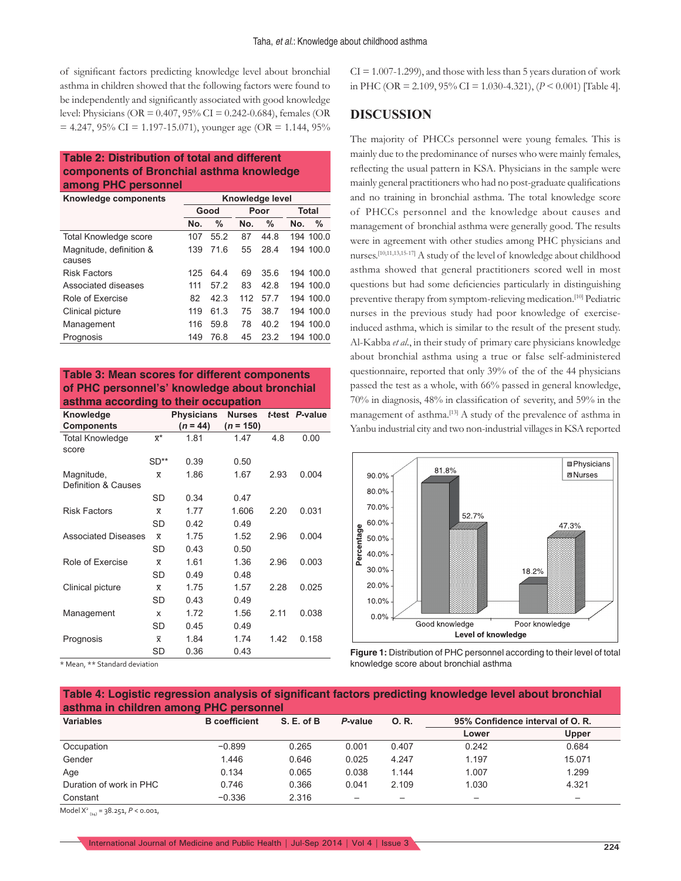of significant factors predicting knowledge level about bronchial asthma in children showed that the following factors were found to be independently and significantly associated with good knowledge level: Physicians (OR = 0.407, 95% CI = 0.242-0.684), females (OR  $= 4.247, 95\% \text{ CI} = 1.197 - 15.071$ , younger age (OR = 1.144, 95%)

#### **Table 2: Distribution of total and different components of Bronchial asthma knowledge among PHC personnel**

| Knowledge components    | Knowledge level |      |      |      |       |           |
|-------------------------|-----------------|------|------|------|-------|-----------|
|                         | Good            |      | Poor |      | Total |           |
|                         | No.             | %    | No.  | $\%$ | No.   | $\%$      |
| Total Knowledge score   | 107             | 55.2 | 87   | 44.8 |       | 194 100.0 |
| Magnitude, definition & | 139             | 71.6 | 55   | 28.4 |       | 194 100.0 |
| causes                  |                 |      |      |      |       |           |
| <b>Risk Factors</b>     | 125             | 64.4 | 69   | 35.6 |       | 194 100.0 |
| Associated diseases     | 111             | 57.2 | 83   | 428  |       | 194 100.0 |
| Role of Exercise        | 82              | 423  | 112  | 57.7 |       | 194 100.0 |
| Clinical picture        | 119             | 61.3 | 75   | 38.7 |       | 194 100.0 |
| Management              | 116             | 59.8 | 78   | 40.2 |       | 194 100.0 |
| Prognosis               | 149             | 76.8 | 45   | 23.2 |       | 194 100.0 |

#### **Table 3: Mean scores for different components of PHC personnel's' knowledge about bronchial asthma according to their occupation**

| Knowledge<br><b>Components</b>    |                                 | <b>Physicians</b><br>$(n = 44)$ | <b>Nurses</b><br>$(n = 150)$ |      | t-test P-value |
|-----------------------------------|---------------------------------|---------------------------------|------------------------------|------|----------------|
| <b>Total Knowledge</b><br>score   | $\overline{\mathsf{x}}^{\star}$ | 1.81                            | 1.47                         | 4.8  | 0.00           |
|                                   | $SD**$                          | 0.39                            | 0.50                         |      |                |
| Magnitude,<br>Definition & Causes | $\overline{\mathsf{x}}$         | 1.86                            | 1.67                         | 2.93 | 0.004          |
|                                   | SD                              | 0.34                            | 0.47                         |      |                |
| <b>Risk Factors</b>               | $\overline{\mathsf{x}}$         | 1.77                            | 1.606                        | 2.20 | 0.031          |
|                                   | SD                              | 0.42                            | 0.49                         |      |                |
| <b>Associated Diseases</b>        | $\overline{\mathsf{x}}$         | 1.75                            | 1.52                         | 2.96 | 0.004          |
|                                   | SD                              | 0.43                            | 0.50                         |      |                |
| Role of Exercise                  | $\overline{\mathsf{x}}$         | 1.61                            | 1.36                         | 2.96 | 0.003          |
|                                   | SD                              | 0.49                            | 0.48                         |      |                |
| Clinical picture                  | $\overline{\mathsf{x}}$         | 1.75                            | 1.57                         | 2.28 | 0.025          |
|                                   | SD                              | 0.43                            | 0.49                         |      |                |
| Management                        | x                               | 1.72                            | 1.56                         | 2.11 | 0.038          |
|                                   | SD                              | 0.45                            | 0.49                         |      |                |
| Prognosis                         | $\overline{\mathsf{x}}$         | 1.84                            | 1.74                         | 1.42 | 0.158          |
|                                   | SD                              | 0.36                            | 0.43                         |      |                |

\* Mean, \*\* Standard deviation

 $CI = 1.007 - 1.299$ , and those with less than 5 years duration of work in PHC (OR = 2.109, 95% CI = 1.030-4.321), ( $P < 0.001$ ) [Table 4].

### **DISCUSSION**

The majority of PHCCs personnel were young females. This is mainly due to the predominance of nurses who were mainly females, reflecting the usual pattern in KSA. Physicians in the sample were mainly general practitioners who had no post-graduate qualifications and no training in bronchial asthma. The total knowledge score of PHCCs personnel and the knowledge about causes and management of bronchial asthma were generally good. The results were in agreement with other studies among PHC physicians and nurses.[10,11,13,15-17] A study of the level of knowledge about childhood asthma showed that general practitioners scored well in most questions but had some deficiencies particularly in distinguishing preventive therapy from symptom-relieving medication.<sup>[10]</sup> Pediatric nurses in the previous study had poor knowledge of exerciseinduced asthma, which is similar to the result of the present study. Al-Kabba *et al*., in their study of primary care physicians knowledge about bronchial asthma using a true or false self-administered questionnaire, reported that only 39% of the of the 44 physicians passed the test as a whole, with 66% passed in general knowledge, 70% in diagnosis, 48% in classification of severity, and 59% in the management of asthma.[13] A study of the prevalence of asthma in Yanbu industrial city and two non-industrial villages in KSA reported



**Figure 1:** Distribution of PHC personnel according to their level of total knowledge score about bronchial asthma

**Table 4: Logistic regression analysis of significant factors predicting knowledge level about bronchial asthma in children among PHC personnel**

| <b>Variables</b>        | <b>B</b> coefficient | S. E. of B | P-value | 0. R. | 95% Confidence interval of O. R. |        |
|-------------------------|----------------------|------------|---------|-------|----------------------------------|--------|
|                         |                      |            |         |       | Lower                            | Upper  |
| Occupation              | $-0.899$             | 0.265      | 0.001   | 0.407 | 0.242                            | 0.684  |
| Gender                  | 1.446                | 0.646      | 0.025   | 4.247 | 1.197                            | 15.071 |
| Age                     | 0.134                | 0.065      | 0.038   | 1.144 | 1.007                            | 1.299  |
| Duration of work in PHC | 0.746                | 0.366      | 0.041   | 2.109 | 1.030                            | 4.321  |
| Constant                | $-0.336$             | 2.316      |         |       |                                  | —      |

Model X2 (14) = 38.251, *P* < 0.001,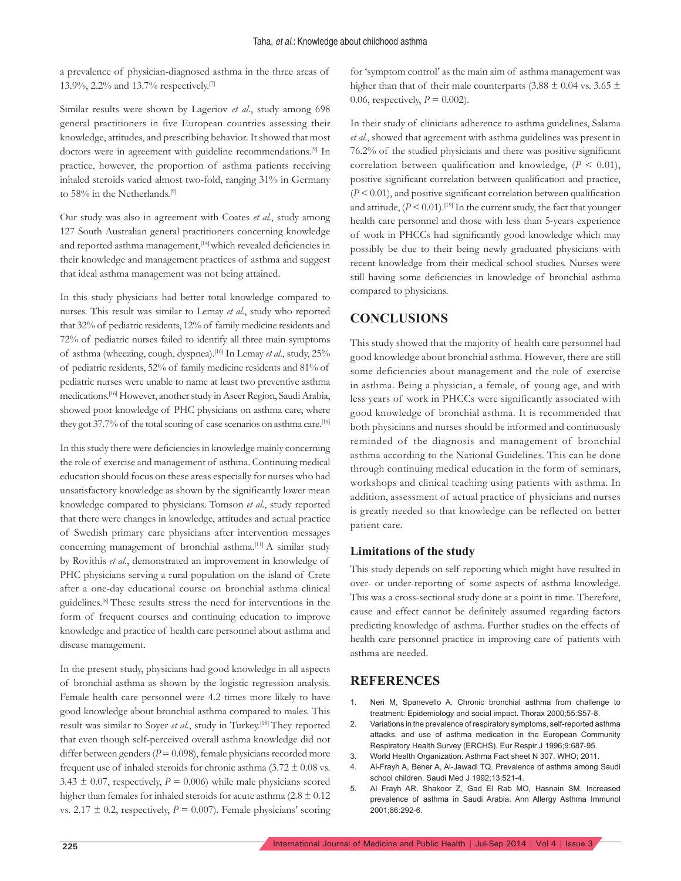a prevalence of physician-diagnosed asthma in the three areas of 13.9%, 2.2% and 13.7% respectively.[7]

Similar results were shown by Lageriov *et al*., study among 698 general practitioners in five European countries assessing their knowledge, attitudes, and prescribing behavior. It showed that most doctors were in agreement with guideline recommendations.<sup>[9]</sup> In practice, however, the proportion of asthma patients receiving inhaled steroids varied almost two-fold, ranging 31% in Germany to 58% in the Netherlands.<sup>[9]</sup>

Our study was also in agreement with Coates *et al*., study among 127 South Australian general practitioners concerning knowledge and reported asthma management,<sup>[14]</sup> which revealed deficiencies in their knowledge and management practices of asthma and suggest that ideal asthma management was not being attained.

In this study physicians had better total knowledge compared to nurses. This result was similar to Lemay *et al*., study who reported that 32% of pediatric residents, 12% of family medicine residents and 72% of pediatric nurses failed to identify all three main symptoms of asthma (wheezing, cough, dyspnea).[16] In Lemay *et al*., study, 25% of pediatric residents, 52% of family medicine residents and 81% of pediatric nurses were unable to name at least two preventive asthma medications.[16] However, another study in Aseer Region, Saudi Arabia, showed poor knowledge of PHC physicians on asthma care, where they got 37.7% of the total scoring of case scenarios on asthma care.<sup>[16]</sup>

In this study there were deficiencies in knowledge mainly concerning the role of exercise and management of asthma. Continuing medical education should focus on these areas especially for nurses who had unsatisfactory knowledge as shown by the significantly lower mean knowledge compared to physicians. Tomson *et al*., study reported that there were changes in knowledge, attitudes and actual practice of Swedish primary care physicians after intervention messages concerning management of bronchial asthma.<sup>[11]</sup> A similar study by Rovithis *et al*., demonstrated an improvement in knowledge of PHC physicians serving a rural population on the island of Crete after a one-day educational course on bronchial asthma clinical guidelines.[8] These results stress the need for interventions in the form of frequent courses and continuing education to improve knowledge and practice of health care personnel about asthma and disease management.

In the present study, physicians had good knowledge in all aspects of bronchial asthma as shown by the logistic regression analysis. Female health care personnel were 4.2 times more likely to have good knowledge about bronchial asthma compared to males. This result was similar to Soyer *et al*., study in Turkey.[18] They reported that even though self-perceived overall asthma knowledge did not differ between genders ( $P = 0.098$ ), female physicians recorded more frequent use of inhaled steroids for chronic asthma  $(3.72 \pm 0.08 \text{ vs.})$ 3.43  $\pm$  0.07, respectively,  $P = 0.006$ ) while male physicians scored higher than females for inhaled steroids for acute asthma  $(2.8 \pm 0.12)$ vs.  $2.17 \pm 0.2$ , respectively,  $P = 0.007$ ). Female physicians' scoring for 'symptom control' as the main aim of asthma management was higher than that of their male counterparts (3.88  $\pm$  0.04 vs. 3.65  $\pm$ 0.06, respectively,  $P = 0.002$ ).

In their study of clinicians adherence to asthma guidelines, Salama *et al*., showed that agreement with asthma guidelines was present in 76.2% of the studied physicians and there was positive significant correlation between qualification and knowledge,  $(P < 0.01)$ , positive significant correlation between qualification and practice,  $(P < 0.01)$ , and positive significant correlation between qualification and attitude,  $(P < 0.01)$ .<sup>[19]</sup> In the current study, the fact that younger health care personnel and those with less than 5-years experience of work in PHCCs had significantly good knowledge which may possibly be due to their being newly graduated physicians with recent knowledge from their medical school studies. Nurses were still having some deficiencies in knowledge of bronchial asthma compared to physicians.

# **CONCLUSIONS**

This study showed that the majority of health care personnel had good knowledge about bronchial asthma. However, there are still some deficiencies about management and the role of exercise in asthma. Being a physician, a female, of young age, and with less years of work in PHCCs were significantly associated with good knowledge of bronchial asthma. It is recommended that both physicians and nurses should be informed and continuously reminded of the diagnosis and management of bronchial asthma according to the National Guidelines. This can be done through continuing medical education in the form of seminars, workshops and clinical teaching using patients with asthma. In addition, assessment of actual practice of physicians and nurses is greatly needed so that knowledge can be reflected on better patient care.

#### **Limitations of the study**

This study depends on self-reporting which might have resulted in over- or under-reporting of some aspects of asthma knowledge. This was a cross-sectional study done at a point in time. Therefore, cause and effect cannot be definitely assumed regarding factors predicting knowledge of asthma. Further studies on the effects of health care personnel practice in improving care of patients with asthma are needed.

#### **REFERENCES**

- 1. Neri M, Spanevello A. Chronic bronchial asthma from challenge to treatment: Epidemiology and social impact. Thorax 2000;55:S57-8.
- 2. Variations in the prevalence of respiratory symptoms, self-reported asthma attacks, and use of asthma medication in the European Community Respiratory Health Survey (ERCHS). Eur Respir J 1996;9:687-95.
- 3. World Health Organization. Asthma Fact sheet N 307. WHO; 2011.
- 4. Al-Frayh A, Bener A, Al-Jawadi TQ. Prevalence of asthma among Saudi school children. Saudi Med J 1992;13:521-4.
- 5. Al Frayh AR, Shakoor Z, Gad El Rab MO, Hasnain SM. Increased prevalence of asthma in Saudi Arabia. Ann Allergy Asthma Immunol 2001;86:292-6.